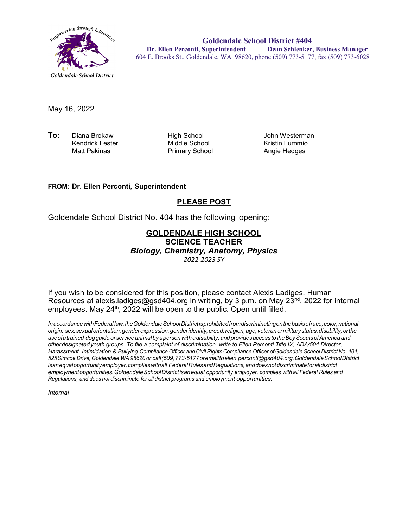

**Goldendale School District #404 Dr. Ellen Perconti, Superintendent Dean Schlenker, Business Manager** 604 E. Brooks St., Goldendale, WA 98620, phone (509) 773-5177, fax (509) 773-6028

May 16, 2022

**To:** Diana Brokaw High School John Westerman Kendrick Lester Middle School Kristin Lummio

Primary School

## **FROM: Dr. Ellen Perconti, Superintendent**

## **PLEASE POST**

Goldendale School District No. 404 has the following opening:

## **GOLDENDALE HIGH SCHOOL SCIENCE TEACHER**

*Biology, Chemistry, Anatomy, Physics*

*2022-2023 SY*

If you wish to be considered for this position, please contact Alexis Ladiges, Human Resources at alexis.ladiges@gsd404.org in writing, by 3 p.m. on May 23<sup>nd</sup>, 2022 for internal employees. May 24<sup>th</sup>, 2022 will be open to the public. Open until filled.

*InaccordancewithFederal law,theGoldendaleSchoolDistrictisprohibitedfromdiscriminatingonthebasisofrace,color,national origin, sex,sexualorientation,genderexpression,genderidentity, creed,religion,age, veteranormilitarystatus,disability, orthe useofatrained dogguide orservice animal by aperson withadisability, andprovidesaccess totheBoyScouts ofAmerica and other designated youth groups. To file a complaint of discrimination, write to Ellen Perconti Title IX, ADA/504 Director, Harassment, Intimidation & Bullying Compliance Officer and Civil Rights Compliance Officer ofGoldendale School District No. 404, 525Simcoe Drive, Goldendale WA 98620 or call(509)773-5177oremailt[oellen.perconti@gsd404.org.G](mailto:ellen.perconti@gsd404.org)oldendaleSchoolDistrict isanequalopportunityemployer,complieswithall FederalRulesandRegulations,anddoesnotdiscriminateforalldistrict employmentopportunities.GoldendaleSchoolDistrictisanequal opportunity employer, complies with all Federal Rules and Regulations, and does not discriminate for all district programs and employment opportunities.*

*Internal*